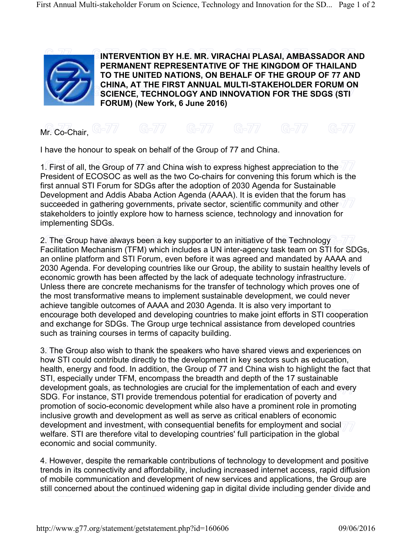

 $M$ r. Co-Chair, G-77 G-77 G-77

I have the honour to speak on behalf of the Group of 77 and China.

1. First of all, the Group of 77 and China wish to express highest appreciation to the President of ECOSOC as well as the two Co-chairs for convening this forum which is the first annual STI Forum for SDGs after the adoption of 2030 Agenda for Sustainable Development and Addis Ababa Action Agenda (AAAA). It is eviden that the forum has succeeded in gathering governments, private sector, scientific community and other stakeholders to jointly explore how to harness science, technology and innovation for implementing SDGs.

2. The Group have always been a key supporter to an initiative of the Technology Facilitation Mechanism (TFM) which includes a UN inter-agency task team on STI for SDGs, an online platform and STI Forum, even before it was agreed and mandated by AAAA and 2030 Agenda. For developing countries like our Group, the ability to sustain healthy levels of economic growth has been affected by the lack of adequate technology infrastructure. Unless there are concrete mechanisms for the transfer of technology which proves one of the most transformative means to implement sustainable development, we could never achieve tangible outcomes of AAAA and 2030 Agenda. It is also very important to encourage both developed and developing countries to make joint efforts in STI cooperation and exchange for SDGs. The Group urge technical assistance from developed countries such as training courses in terms of capacity building.

3. The Group also wish to thank the speakers who have shared views and experiences on how STI could contribute directly to the development in key sectors such as education, health, energy and food. In addition, the Group of 77 and China wish to highlight the fact that STI, especially under TFM, encompass the breadth and depth of the 17 sustainable development goals, as technologies are crucial for the implementation of each and every SDG. For instance, STI provide tremendous potential for eradication of poverty and promotion of socio-economic development while also have a prominent role in promoting inclusive growth and development as well as serve as critical enablers of economic development and investment, with consequential benefits for employment and social welfare. STI are therefore vital to developing countries' full participation in the global economic and social community.

4. However, despite the remarkable contributions of technology to development and positive trends in its connectivity and affordability, including increased internet access, rapid diffusion of mobile communication and development of new services and applications, the Group are still concerned about the continued widening gap in digital divide including gender divide and